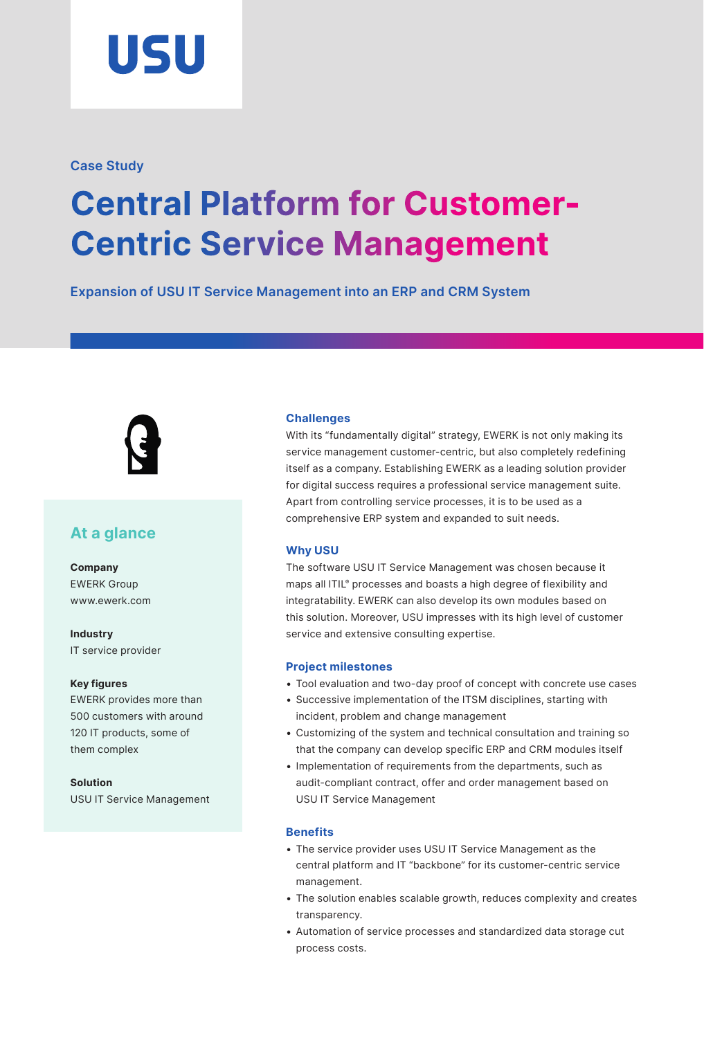

# **Case Study**

# **Central Platform for Customer-Centric Service Management**

**Expansion of USU IT Service Management into an ERP and CRM System**



# **At a glance**

**Company** EWERK Group www.[ewerk.com](http://www.ewerk.com)

**Industry** IT service provider

#### **Key figures**

EWERK provides more than 500 customers with around 120 IT products, some of them complex

**Solution** USU IT Service Management

## **Challenges**

With its "fundamentally digital" strategy, EWERK is not only making its service management customer-centric, but also completely redefining itself as a company. Establishing EWERK as a leading solution provider for digital success requires a professional service management suite. Apart from controlling service processes, it is to be used as a comprehensive ERP system and expanded to suit needs.

## **Why USU**

The software USU IT Service Management was chosen because it maps all ITIL® processes and boasts a high degree of flexibility and integratability. EWERK can also develop its own modules based on this solution. Moreover, USU impresses with its high level of customer service and extensive consulting expertise.

## **Project milestones**

- Tool evaluation and two-day proof of concept with concrete use cases
- Successive implementation of the ITSM disciplines, starting with incident, problem and change management
- Customizing of the system and technical consultation and training so that the company can develop specific ERP and CRM modules itself
- Implementation of requirements from the departments, such as audit-compliant contract, offer and order management based on USU IT Service Management

## **Benefits**

- The service provider uses USU IT Service Management as the central platform and IT "backbone" for its customer-centric service management.
- The solution enables scalable growth, reduces complexity and creates transparency.
- Automation of service processes and standardized data storage cut process costs.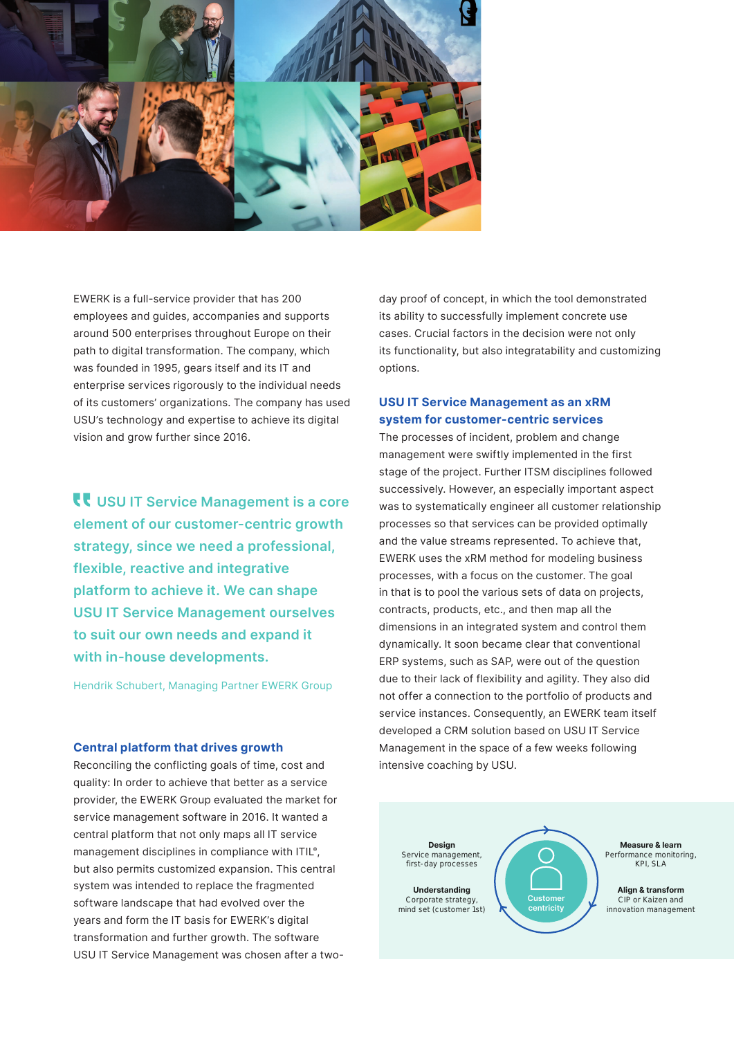

EWERK is a full-service provider that has 200 employees and guides, accompanies and supports around 500 enterprises throughout Europe on their path to digital transformation. The company, which was founded in 1995, gears itself and its IT and enterprise services rigorously to the individual needs of its customers' organizations. The company has used USU's technology and expertise to achieve its digital vision and grow further since 2016.

**USU IT Service Management is a core element of our customer-centric growth strategy, since we need a professional, flexible, reactive and integrative platform to achieve it. We can shape USU IT Service Management ourselves to suit our own needs and expand it with in-house developments.**

Hendrik Schubert, Managing Partner EWERK Group

#### **Central platform that drives growth**

Reconciling the conflicting goals of time, cost and quality: In order to achieve that better as a service provider, the EWERK Group evaluated the market for service management software in 2016. It wanted a central platform that not only maps all IT service management disciplines in compliance with ITIL®, but also permits customized expansion. This central system was intended to replace the fragmented software landscape that had evolved over the years and form the IT basis for EWERK's digital transformation and further growth. The software USU IT Service Management was chosen after a two-

day proof of concept, in which the tool demonstrated its ability to successfully implement concrete use cases. Crucial factors in the decision were not only its functionality, but also integratability and customizing options.

# **USU IT Service Management as an xRM system for customer-centric services**

The processes of incident, problem and change management were swiftly implemented in the first stage of the project. Further ITSM disciplines followed successively. However, an especially important aspect was to systematically engineer all customer relationship processes so that services can be provided optimally and the value streams represented. To achieve that, EWERK uses the xRM method for modeling business processes, with a focus on the customer. The goal in that is to pool the various sets of data on projects, contracts, products, etc., and then map all the dimensions in an integrated system and control them dynamically. It soon became clear that conventional ERP systems, such as SAP, were out of the question due to their lack of flexibility and agility. They also did not offer a connection to the portfolio of products and service instances. Consequently, an EWERK team itself developed a CRM solution based on USU IT Service Management in the space of a few weeks following intensive coaching by USU.